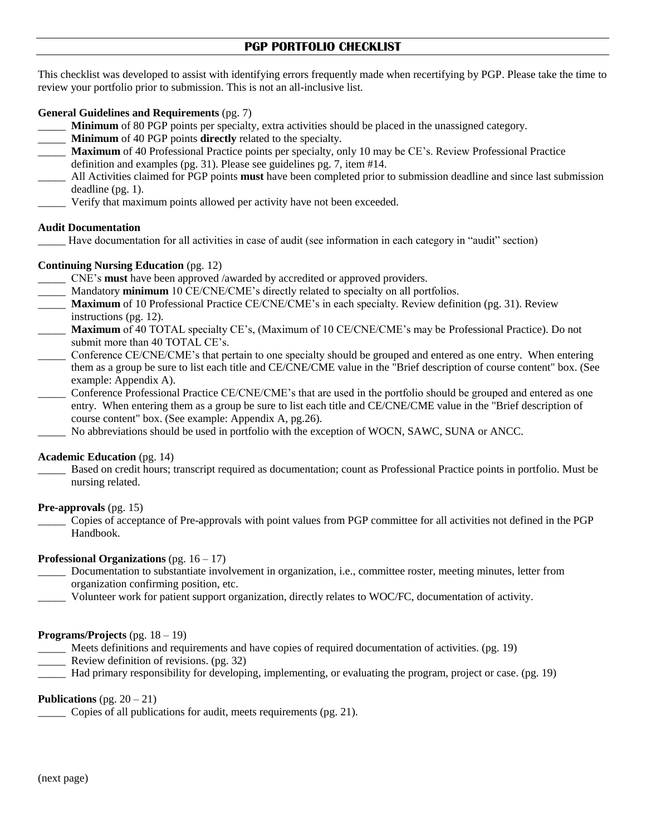# **PGP PORTFOLIO CHECKLIST**

This checklist was developed to assist with identifying errors frequently made when recertifying by PGP. Please take the time to review your portfolio prior to submission. This is not an all-inclusive list.

## **General Guidelines and Requirements** (pg. 7)

- **Minimum** of 80 PGP points per specialty, extra activities should be placed in the unassigned category.
- \_\_\_\_\_ **Minimum** of 40 PGP points **directly** related to the specialty.
- \_\_\_\_\_ **Maximum** of 40 Professional Practice points per specialty, only 10 may be CE's. Review Professional Practice definition and examples (pg. 31). Please see guidelines pg. 7, item #14.
- \_\_\_\_\_ All Activities claimed for PGP points **must** have been completed prior to submission deadline and since last submission deadline (pg. 1).
- Verify that maximum points allowed per activity have not been exceeded.

#### **Audit Documentation**

\_\_\_\_\_ Have documentation for all activities in case of audit (see information in each category in "audit" section)

### **Continuing Nursing Education** (pg. 12)

- \_\_\_\_\_ CNE's **must** have been approved /awarded by accredited or approved providers.
- Mandatory **minimum** 10 CE/CNE/CME's directly related to specialty on all portfolios.
- **Maximum** of 10 Professional Practice CE/CNE/CME's in each specialty. Review definition (pg. 31). Review instructions (pg. 12).
- \_\_\_\_\_ **Maximum** of 40 TOTAL specialty CE's, (Maximum of 10 CE/CNE/CME's may be Professional Practice). Do not submit more than 40 TOTAL CE's.
- Conference CE/CNE/CME's that pertain to one specialty should be grouped and entered as one entry. When entering them as a group be sure to list each title and CE/CNE/CME value in the "Brief description of course content" box. (See example: Appendix A).
- \_\_\_\_\_ Conference Professional Practice CE/CNE/CME's that are used in the portfolio should be grouped and entered as one entry. When entering them as a group be sure to list each title and CE/CNE/CME value in the "Brief description of course content" box. (See example: Appendix A, pg.26).
- No abbreviations should be used in portfolio with the exception of WOCN, SAWC, SUNA or ANCC.

#### **Academic Education** (pg. 14)

Based on credit hours; transcript required as documentation; count as Professional Practice points in portfolio. Must be nursing related.

**Pre-approvals** (pg. 15)

\_\_\_\_\_ Copies of acceptance of Pre-approvals with point values from PGP committee for all activities not defined in the PGP Handbook.

#### **Professional Organizations** (pg. 16 – 17)

- \_\_\_\_\_ Documentation to substantiate involvement in organization, i.e., committee roster, meeting minutes, letter from organization confirming position, etc.
- \_\_\_\_\_ Volunteer work for patient support organization, directly relates to WOC/FC, documentation of activity.

#### **Programs/Projects** (pg. 18 – 19)

- Meets definitions and requirements and have copies of required documentation of activities. (pg. 19)
- \_\_\_\_\_ Review definition of revisions. (pg. 32)
- Had primary responsibility for developing, implementing, or evaluating the program, project or case. (pg. 19)

#### **Publications**  $(pg. 20 - 21)$

Copies of all publications for audit, meets requirements (pg. 21).